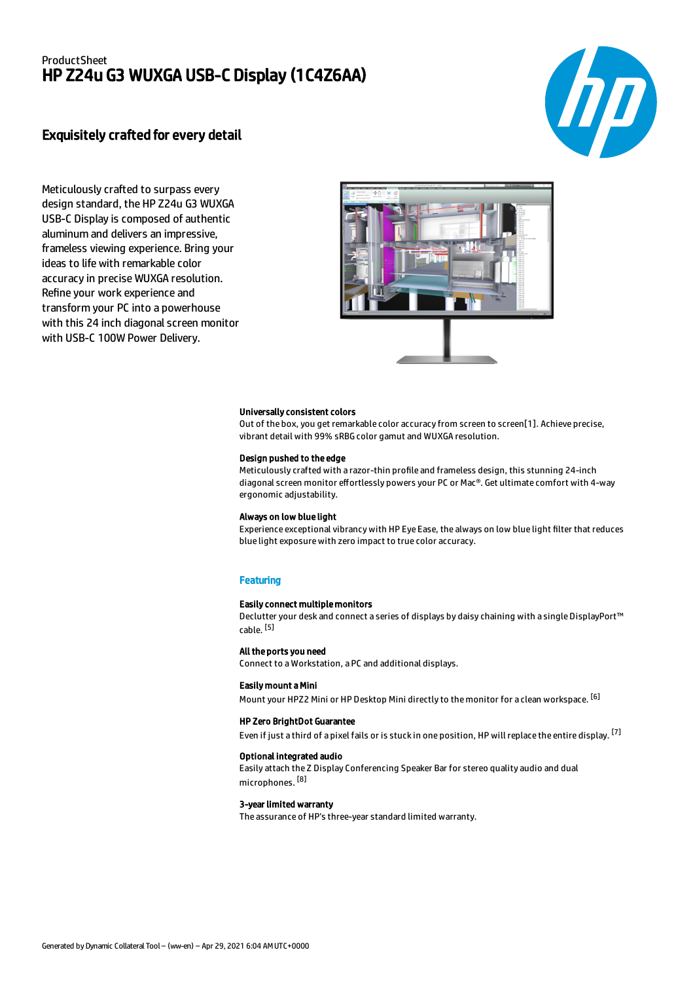# ProductSheet HP Z24u G3 WUXGA USB-C Display (1C4Z6AA)



# Exquisitely crafted for every detail

Meticulously crafted to surpass every design standard, the HP Z24u G3 WUXGA USB-C Display is composed of authentic aluminum and delivers an impressive, frameless viewing experience. Bring your ideas to life with remarkable color accuracy in precise WUXGA resolution. Refine your work experience and transform your PC into a powerhouse with this 24 inch diagonal screen monitor with USB-C 100W Power Delivery.



#### Universally consistent colors

Out of the box, you get remarkable color accuracy from screen to screen[1]. Achieve precise, vibrant detail with 99% sRBG color gamut and WUXGA resolution.

## Design pushed to the edge

Meticulously crafted with a razor-thin profile and frameless design, this stunning 24-inch diagonal screen monitor effortlessly powers your PC or Mac®. Get ultimate comfort with 4-way ergonomic adjustability.

#### Always on low blue light

Experience exceptional vibrancy with HP Eye Ease, the always on low blue light filter that reduces blue light exposure with zero impact to true color accuracy.

### **Featuring**

### Easily connect multiple monitors

Declutter your desk and connect a series of displays by daisy chaining with a single DisplayPort™ cable. <sup>[5]</sup>

#### All the ports you need

Connect to a Workstation, a PC and additional displays.

## Easily mount a Mini

Mount your HPZ2 Mini or HP Desktop Mini directly to the monitor for a clean workspace. <sup>[6]</sup>

#### HP Zero BrightDot Guarantee

Even if just a third of a pixel fails or is stuck in one position, HP will replace the entire display. <sup>[7]</sup>

### Optional integrated audio

Easily attach the Z Display Conferencing Speaker Bar for stereo quality audio and dual microphones. <sup>[8]</sup>

#### 3-year limited warranty

The assurance of HP's three-year standard limited warranty.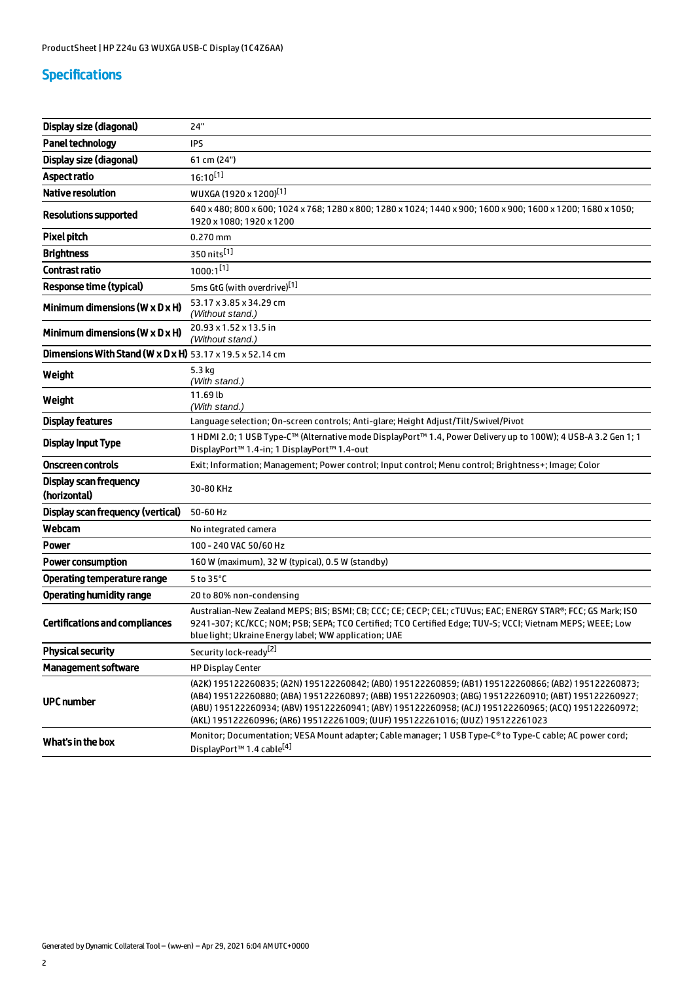# Specifications

| Display size (diagonal)                                                      | 24"                                                                                                                                                                                                                                                                                                                                                                                                 |
|------------------------------------------------------------------------------|-----------------------------------------------------------------------------------------------------------------------------------------------------------------------------------------------------------------------------------------------------------------------------------------------------------------------------------------------------------------------------------------------------|
| Panel technology                                                             | IPS                                                                                                                                                                                                                                                                                                                                                                                                 |
| Display size (diagonal)                                                      | 61 cm (24")                                                                                                                                                                                                                                                                                                                                                                                         |
| Aspect ratio                                                                 | $16:10^{[1]}$                                                                                                                                                                                                                                                                                                                                                                                       |
| <b>Native resolution</b>                                                     | WUXGA (1920 x 1200) <sup>[1]</sup>                                                                                                                                                                                                                                                                                                                                                                  |
| <b>Resolutions supported</b>                                                 | 640 x 480; 800 x 600; 1024 x 768; 1280 x 800; 1280 x 1024; 1440 x 900; 1600 x 900; 1600 x 1200; 1680 x 1050;<br>1920 x 1080; 1920 x 1200                                                                                                                                                                                                                                                            |
| <b>Pixel pitch</b>                                                           | $0.270$ mm                                                                                                                                                                                                                                                                                                                                                                                          |
| <b>Brightness</b>                                                            | 350 nits[1]                                                                                                                                                                                                                                                                                                                                                                                         |
| Contrast ratio                                                               | $1000:1^{[1]}$                                                                                                                                                                                                                                                                                                                                                                                      |
| <b>Response time (typical)</b>                                               | 5ms GtG (with overdrive)[1]                                                                                                                                                                                                                                                                                                                                                                         |
| Minimum dimensions ( $W \times D \times H$ )                                 | 53.17 x 3.85 x 34.29 cm<br>(Without stand.)                                                                                                                                                                                                                                                                                                                                                         |
| Minimum dimensions ( $W \times D \times H$ )                                 | 20.93 x 1.52 x 13.5 in<br>(Without stand.)                                                                                                                                                                                                                                                                                                                                                          |
| <b>Dimensions With Stand (W x D x H)</b> $53.17 \times 19.5 \times 52.14$ cm |                                                                                                                                                                                                                                                                                                                                                                                                     |
| Weight                                                                       | 5.3 kg<br>(With stand.)                                                                                                                                                                                                                                                                                                                                                                             |
| Weight                                                                       | 11.69 lb<br>(With stand.)                                                                                                                                                                                                                                                                                                                                                                           |
| <b>Display features</b>                                                      | Language selection; On-screen controls; Anti-glare; Height Adjust/Tilt/Swivel/Pivot                                                                                                                                                                                                                                                                                                                 |
| <b>Display Input Type</b>                                                    | 1 HDMI 2.0; 1 USB Type-C™ (Alternative mode DisplayPort™ 1.4, Power Delivery up to 100W); 4 USB-A 3.2 Gen 1; 1<br>DisplayPort <sup>™</sup> 1.4-in; 1 DisplayPort™ 1.4-out                                                                                                                                                                                                                           |
| Onscreen controls                                                            | Exit; Information; Management; Power control; Input control; Menu control; Brightness+; Image; Color                                                                                                                                                                                                                                                                                                |
| <b>Display scan frequency</b><br>(horizontal)                                | 30-80 KHz                                                                                                                                                                                                                                                                                                                                                                                           |
| Display scan frequency (vertical)                                            | 50-60 Hz                                                                                                                                                                                                                                                                                                                                                                                            |
| Webcam                                                                       | No integrated camera                                                                                                                                                                                                                                                                                                                                                                                |
| Power                                                                        | 100 - 240 VAC 50/60 Hz                                                                                                                                                                                                                                                                                                                                                                              |
| <b>Power consumption</b>                                                     | 160 W (maximum), 32 W (typical), 0.5 W (standby)                                                                                                                                                                                                                                                                                                                                                    |
| Operating temperature range                                                  | 5 to 35°C                                                                                                                                                                                                                                                                                                                                                                                           |
| <b>Operating humidity range</b>                                              | 20 to 80% non-condensing                                                                                                                                                                                                                                                                                                                                                                            |
| <b>Certifications and compliances</b>                                        | Australian-New Zealand MEPS; BIS; BSMI; CB; CCC; CE; CECP; CEL; cTUVus; EAC; ENERGY STAR®; FCC; GS Mark; ISO<br>9241-307; KC/KCC; NOM; PSB; SEPA; TCO Certified; TCO Certified Edge; TUV-S; VCCI; Vietnam MEPS; WEEE; Low<br>blue light; Ukraine Energy label; WW application; UAE                                                                                                                  |
| <b>Physical security</b>                                                     | Security lock-ready <sup>[2]</sup>                                                                                                                                                                                                                                                                                                                                                                  |
| <b>Management software</b>                                                   | <b>HP Display Center</b>                                                                                                                                                                                                                                                                                                                                                                            |
| <b>UPC number</b>                                                            | (A2K) 195122260835; (A2N) 195122260842; (AB0) 195122260859; (AB1) 195122260866; (AB2) 195122260873;<br>(AB4) 195122260880; (ABA) 195122260897; (ABB) 195122260903; (ABG) 195122260910; (ABT) 195122260927;<br>(ABU) 195122260934; (ABV) 195122260941; (ABY) 195122260958; (ACJ) 195122260965; (ACQ) 195122260972;<br>(AKL) 195122260996; (AR6) 195122261009; (UUF) 195122261016; (UUZ) 195122261023 |
| What's in the box                                                            | Monitor; Documentation; VESA Mount adapter; Cable manager; 1 USB Type-C® to Type-C cable; AC power cord;<br>DisplayPort™ 1.4 cable[4]                                                                                                                                                                                                                                                               |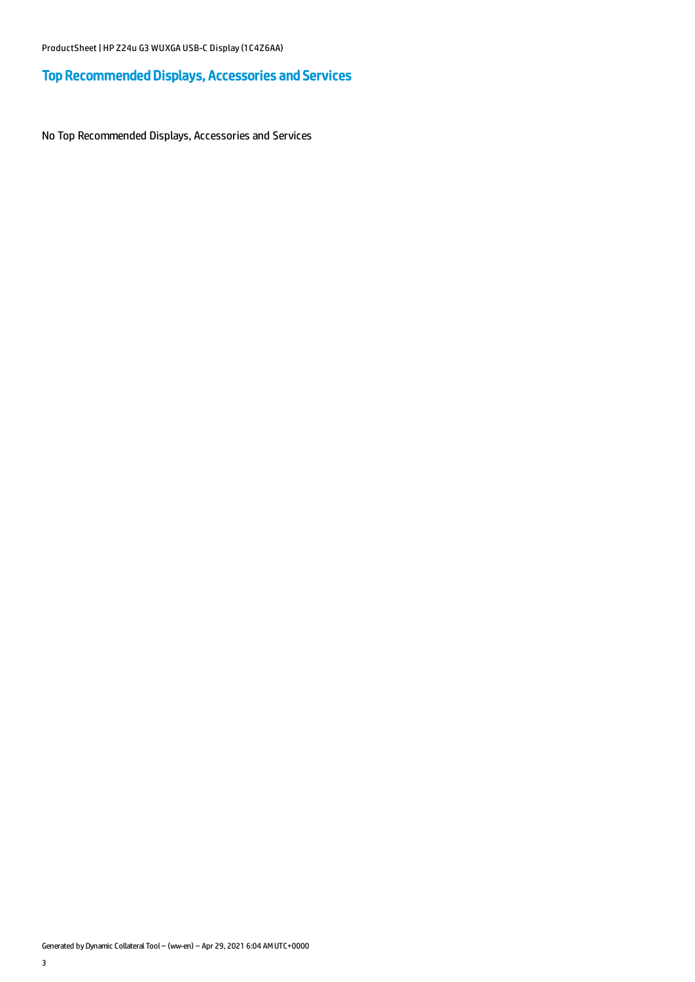# Top Recommended Displays, Accessories and Services

No Top Recommended Displays, Accessories and Services